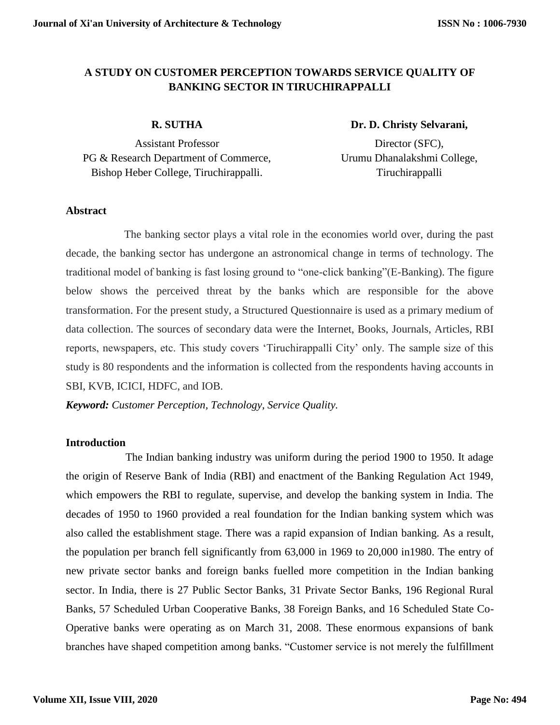# **A STUDY ON CUSTOMER PERCEPTION TOWARDS SERVICE QUALITY OF BANKING SECTOR IN TIRUCHIRAPPALLI**

## **R. SUTHA**

Assistant Professor PG & Research Department of Commerce, Bishop Heber College, Tiruchirappalli.

# **Dr. D. Christy Selvarani,**

Director (SFC), Urumu Dhanalakshmi College, Tiruchirappalli

#### **Abstract**

The banking sector plays a vital role in the economies world over, during the past decade, the banking sector has undergone an astronomical change in terms of technology. The traditional model of banking is fast losing ground to "one-click banking"(E-Banking). The figure below shows the perceived threat by the banks which are responsible for the above transformation. For the present study, a Structured Questionnaire is used as a primary medium of data collection. The sources of secondary data were the Internet, Books, Journals, Articles, RBI reports, newspapers, etc. This study covers 'Tiruchirappalli City' only. The sample size of this study is 80 respondents and the information is collected from the respondents having accounts in SBI, KVB, ICICI, HDFC, and IOB.

*Keyword: Customer Perception, Technology, Service Quality.*

## **Introduction**

The Indian banking industry was uniform during the period 1900 to 1950. It adage the origin of Reserve Bank of India (RBI) and enactment of the Banking Regulation Act 1949, which empowers the RBI to regulate, supervise, and develop the banking system in India. The decades of 1950 to 1960 provided a real foundation for the Indian banking system which was also called the establishment stage. There was a rapid expansion of Indian banking. As a result, the population per branch fell significantly from 63,000 in 1969 to 20,000 in1980. The entry of new private sector banks and foreign banks fuelled more competition in the Indian banking sector. In India, there is 27 Public Sector Banks, 31 Private Sector Banks, 196 Regional Rural Banks, 57 Scheduled Urban Cooperative Banks, 38 Foreign Banks, and 16 Scheduled State Co-Operative banks were operating as on March 31, 2008. These enormous expansions of bank branches have shaped competition among banks. "Customer service is not merely the fulfillment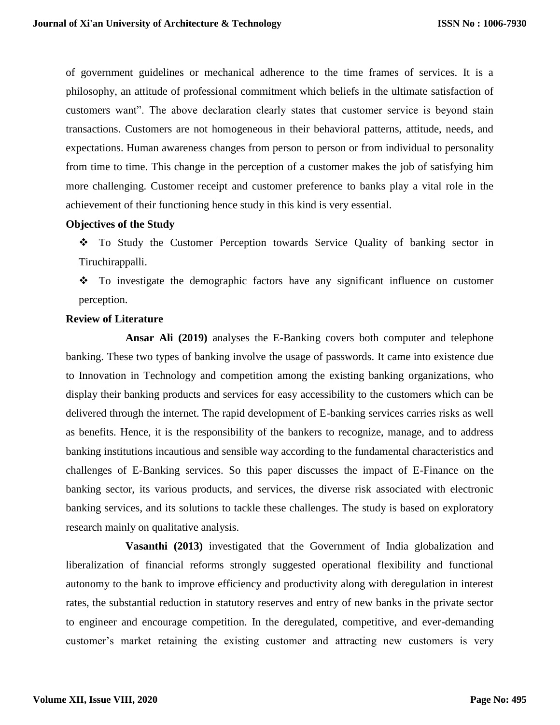of government guidelines or mechanical adherence to the time frames of services. It is a philosophy, an attitude of professional commitment which beliefs in the ultimate satisfaction of customers want". The above declaration clearly states that customer service is beyond stain transactions. Customers are not homogeneous in their behavioral patterns, attitude, needs, and expectations. Human awareness changes from person to person or from individual to personality from time to time. This change in the perception of a customer makes the job of satisfying him more challenging. Customer receipt and customer preference to banks play a vital role in the achievement of their functioning hence study in this kind is very essential.

#### **Objectives of the Study**

 To Study the Customer Perception towards Service Quality of banking sector in Tiruchirappalli.

• To investigate the demographic factors have any significant influence on customer perception.

#### **Review of Literature**

**Ansar Ali (2019)** analyses the E-Banking covers both computer and telephone banking. These two types of banking involve the usage of passwords. It came into existence due to Innovation in Technology and competition among the existing banking organizations, who display their banking products and services for easy accessibility to the customers which can be delivered through the internet. The rapid development of E-banking services carries risks as well as benefits. Hence, it is the responsibility of the bankers to recognize, manage, and to address banking institutions incautious and sensible way according to the fundamental characteristics and challenges of E-Banking services. So this paper discusses the impact of E-Finance on the banking sector, its various products, and services, the diverse risk associated with electronic banking services, and its solutions to tackle these challenges. The study is based on exploratory research mainly on qualitative analysis.

**Vasanthi (2013)** investigated that the Government of India globalization and liberalization of financial reforms strongly suggested operational flexibility and functional autonomy to the bank to improve efficiency and productivity along with deregulation in interest rates, the substantial reduction in statutory reserves and entry of new banks in the private sector to engineer and encourage competition. In the deregulated, competitive, and ever-demanding customer's market retaining the existing customer and attracting new customers is very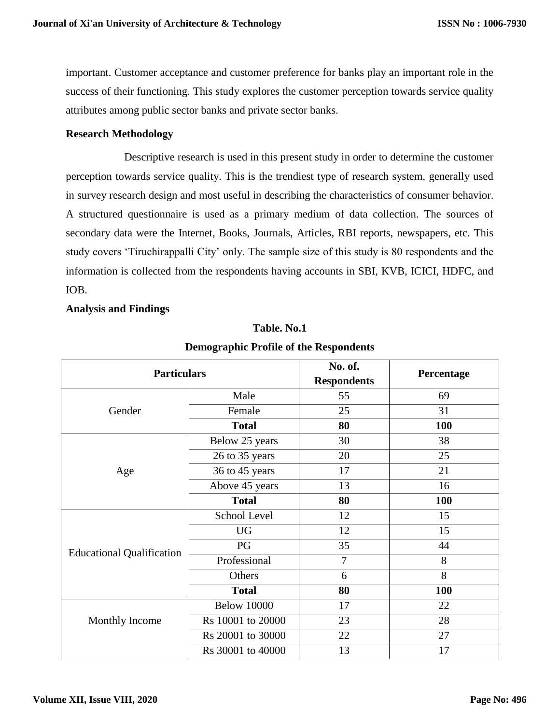important. Customer acceptance and customer preference for banks play an important role in the success of their functioning. This study explores the customer perception towards service quality attributes among public sector banks and private sector banks.

### **Research Methodology**

Descriptive research is used in this present study in order to determine the customer perception towards service quality. This is the trendiest type of research system, generally used in survey research design and most useful in describing the characteristics of consumer behavior. A structured questionnaire is used as a primary medium of data collection. The sources of secondary data were the Internet, Books, Journals, Articles, RBI reports, newspapers, etc. This study covers 'Tiruchirappalli City' only. The sample size of this study is 80 respondents and the information is collected from the respondents having accounts in SBI, KVB, ICICI, HDFC, and IOB.

#### **Analysis and Findings**

| <b>Particulars</b>               |                    | No. of.<br><b>Respondents</b> | Percentage |
|----------------------------------|--------------------|-------------------------------|------------|
| Gender                           | Male               | 55                            | 69         |
|                                  | Female             | 25                            | 31         |
|                                  | <b>Total</b>       | 80                            | <b>100</b> |
| Age                              | Below 25 years     | 30                            | 38         |
|                                  | 26 to 35 years     | 20                            | 25         |
|                                  | 36 to 45 years     | 17                            | 21         |
|                                  | Above 45 years     | 13                            | 16         |
|                                  | <b>Total</b>       | 80                            | 100        |
| <b>Educational Qualification</b> | School Level       | 12                            | 15         |
|                                  | <b>UG</b>          | 12                            | 15         |
|                                  | PG                 | 35                            | 44         |
|                                  | Professional       | $\overline{7}$                | 8          |
|                                  | Others             | 6                             | 8          |
|                                  | <b>Total</b>       | 80                            | 100        |
| Monthly Income                   | <b>Below 10000</b> | 17                            | 22         |
|                                  | Rs 10001 to 20000  | 23                            | 28         |
|                                  | Rs 20001 to 30000  | 22                            | 27         |
|                                  | Rs 30001 to 40000  | 13                            | 17         |

## **Table. No.1**

**Demographic Profile of the Respondents**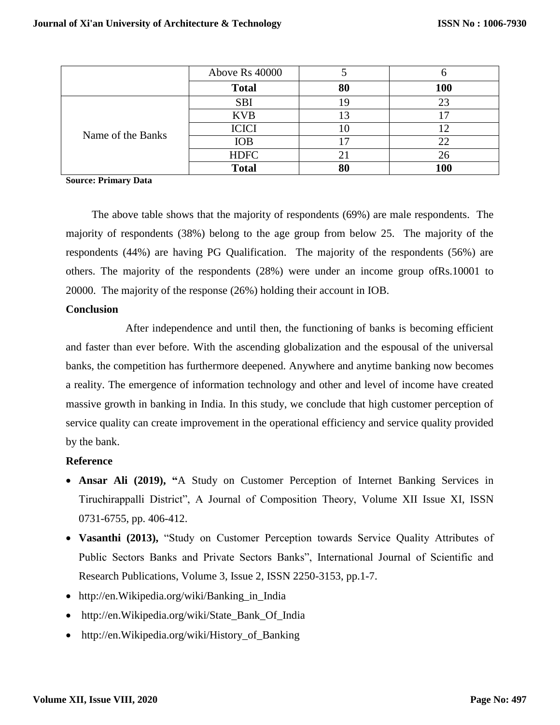|                   | Above Rs 40000 |    |     |
|-------------------|----------------|----|-----|
|                   | <b>Total</b>   | 80 | 100 |
| Name of the Banks | <b>SBI</b>     |    |     |
|                   | <b>KVB</b>     |    |     |
|                   | <b>ICICI</b>   |    |     |
|                   | <b>IOB</b>     |    | 22  |
|                   | <b>HDFC</b>    |    | 26  |
|                   | <b>Total</b>   | 80 |     |

**Source: Primary Data**

The above table shows that the majority of respondents (69%) are male respondents. The majority of respondents (38%) belong to the age group from below 25. The majority of the respondents (44%) are having PG Qualification. The majority of the respondents (56%) are others. The majority of the respondents (28%) were under an income group ofRs.10001 to 20000. The majority of the response (26%) holding their account in IOB.

#### **Conclusion**

After independence and until then, the functioning of banks is becoming efficient and faster than ever before. With the ascending globalization and the espousal of the universal banks, the competition has furthermore deepened. Anywhere and anytime banking now becomes a reality. The emergence of information technology and other and level of income have created massive growth in banking in India. In this study, we conclude that high customer perception of service quality can create improvement in the operational efficiency and service quality provided by the bank.

## **Reference**

- **Ansar Ali (2019), "**A Study on Customer Perception of Internet Banking Services in Tiruchirappalli District", A Journal of Composition Theory, Volume XII Issue XI, ISSN 0731-6755, pp. 406-412.
- **Vasanthi (2013),** "Study on Customer Perception towards Service Quality Attributes of Public Sectors Banks and Private Sectors Banks", International Journal of Scientific and Research Publications, Volume 3, Issue 2, ISSN 2250-3153, pp.1-7.
- http://en.Wikipedia.org/wiki/Banking\_in\_India
- http://en.Wikipedia.org/wiki/State\_Bank\_Of\_India
- http://en.Wikipedia.org/wiki/History\_of\_Banking